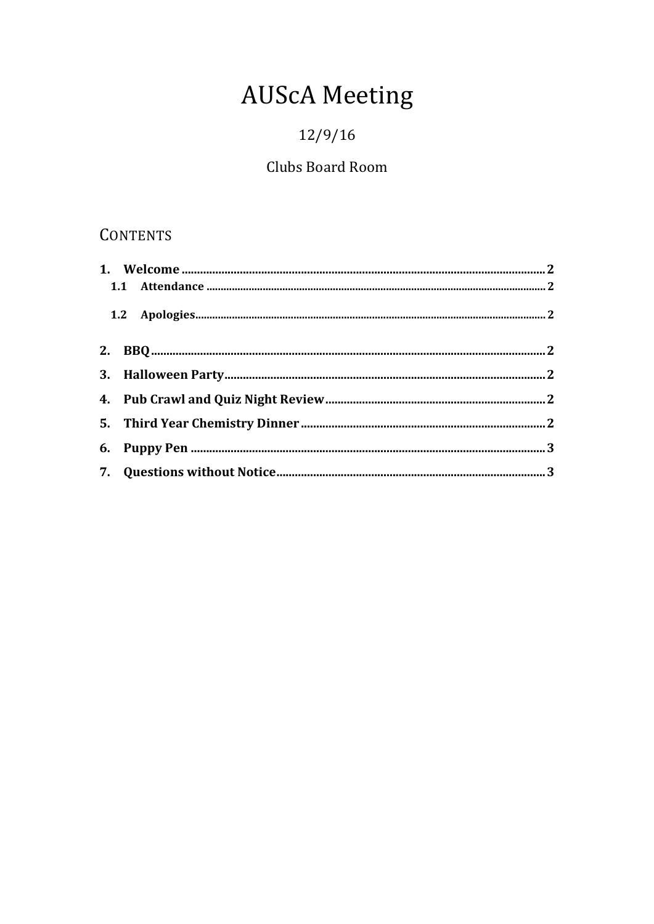# **AUScA Meeting**

# $12/9/16$

## Clubs Board Room

## **CONTENTS**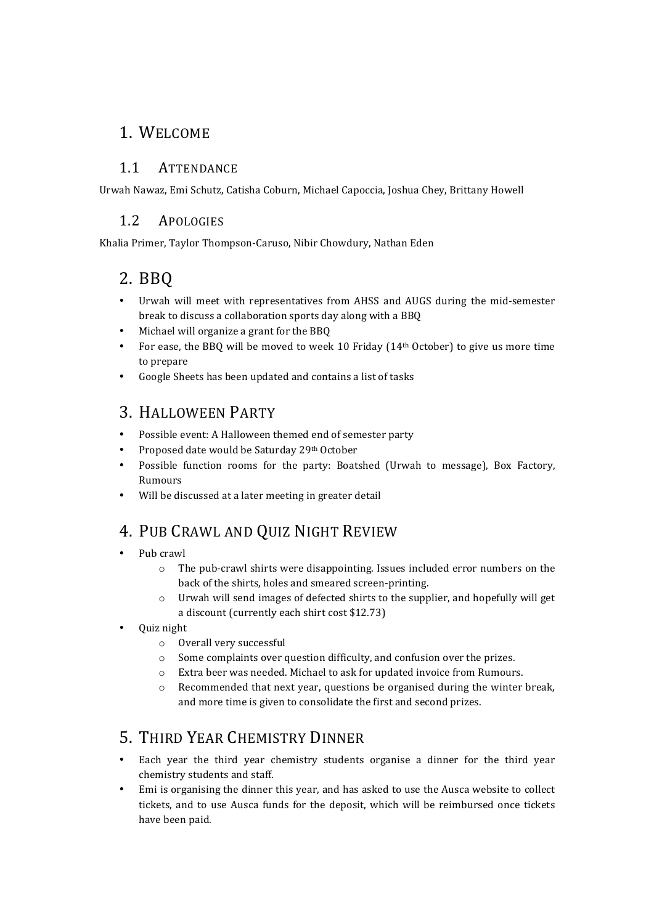#### 1. WELCOME

#### 1.1 ATTENDANCE

Urwah Nawaz, Emi Schutz, Catisha Coburn, Michael Capoccia, Joshua Chey, Brittany Howell

#### 1.2 APOLOGIES

Khalia Primer, Taylor Thompson-Caruso, Nibir Chowdury, Nathan Eden

#### 2. BBQ

- Urwah will meet with representatives from AHSS and AUGS during the mid-semester break to discuss a collaboration sports day along with a BBQ
- Michael will organize a grant for the BBO
- For ease, the BBQ will be moved to week 10 Friday ( $14<sup>th</sup>$  October) to give us more time to prepare
- Google Sheets has been updated and contains a list of tasks

#### 3. HALLOWEEN PARTY

- Possible event: A Halloween themed end of semester party
- Proposed date would be Saturday 29th October
- Possible function rooms for the party: Boatshed (Urwah to message), Box Factory, Rumours
- Will be discussed at a later meeting in greater detail

#### 4. PUB CRAWL AND QUIZ NIGHT REVIEW

- Pub crawl
	- $\circ$  The pub-crawl shirts were disappointing. Issues included error numbers on the back of the shirts, holes and smeared screen-printing.
	- $\circ$  Urwah will send images of defected shirts to the supplier, and hopefully will get a discount (currently each shirt cost \$12.73)
- Quiz night
	- $\circ$  Overall very successful
	- $\circ$  Some complaints over question difficulty, and confusion over the prizes.
	- o Extra beer was needed. Michael to ask for updated invoice from Rumours.
	- $\circ$  Recommended that next year, questions be organised during the winter break, and more time is given to consolidate the first and second prizes.

## 5. THIRD YEAR CHEMISTRY DINNER

- Each year the third year chemistry students organise a dinner for the third year chemistry students and staff.
- Emi is organising the dinner this year, and has asked to use the Ausca website to collect tickets, and to use Ausca funds for the deposit, which will be reimbursed once tickets have been paid.